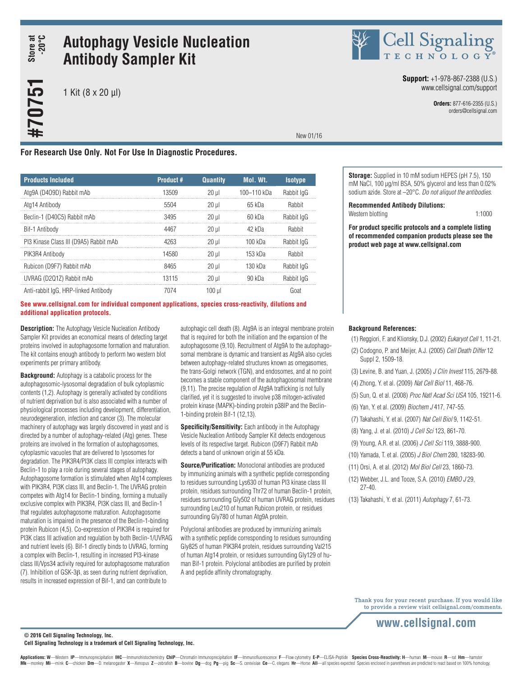# Store at<br>-20°C **#70751 Store at -20°C**

#70751

## **Autophagy Vesicle Nucleation Antibody Sampler Kit**

1 Kit (8 x 20 µl)



**Support:** +1-978-867-2388 (U.S.) www.cellsignal.com/support

> **Orders:** 877-616-2355 (U.S.) orders@cellsignal.com

New 01/16

#### **For Research Use Only. Not For Use In Diagnostic Procedures.**

| <b>Products Included</b>               | <b>Product #</b> | <b>Quantity</b> | Mol. Wt.    | <b>Isotype</b> |
|----------------------------------------|------------------|-----------------|-------------|----------------|
| Atg9A (D409D) Rabbit mAb               | 13509            | $20$ ul         | 100-110 kDa | Rabbit IgG     |
| Ata14 Antibody                         | 5504             | $20$ ul         | $65$ kDa    | Rabbit         |
| Beclin-1 (D40C5) Rabbit mAb            | 3495             | $20$ ul         | 60 kDa      | Rabbit lgG     |
| Bif-1 Antibody                         | 4467             | $20$ ul         | 42 kDa      | Rabbit         |
| PI3 Kinase Class III (D9A5) Rabbit mAb | 4263             | $20$ ul         | 100 kDa     | Rabbit IgG     |
| PIK3R4 Antibody                        | 14580            | $20$ ul         | 153 kDa     | Rabbit         |
| Rubicon (D9F7) Rabbit mAb              | 8465             | $20$ ul         | $130$ kDa   | Rabbit lgG     |
| UVRAG (D2Q1Z) Rabbit mAb               | 13115            | $20$ ul         | $90$ kDa    | Rabbit lgG     |
| Anti-rabbit IgG. HRP-linked Antibody   | 7074             | 100 ul          |             | Goat           |

#### **See www.cellsignal.com for individual component applications, species cross-reactivity, dilutions and additional application protocols.**

**Description:** The Autophagy Vesicle Nucleation Antibody Sampler Kit provides an economical means of detecting target proteins involved in autophagosome formation and maturation. The kit contains enough antibody to perform two western blot experiments per primary antibody.

**Background:** Autophagy is a catabolic process for the autophagosomic-lysosomal degradation of bulk cytoplasmic contents (1,2). Autophagy is generally activated by conditions of nutrient deprivation but is also associated with a number of physiological processes including development, differentiation, neurodegeneration, infection and cancer (3). The molecular machinery of autophagy was largely discovered in yeast and is directed by a number of autophagy-related (Atg) genes. These proteins are involved in the formation of autophagosomes, cytoplasmic vacuoles that are delivered to lysosomes for degradation. The PIK3R4/PI3K class III complex interacts with Beclin-1 to play a role during several stages of autophagy. Autophagosome formation is stimulated when Atg14 complexes with PIK3R4, PI3K class III, and Beclin-1. The UVRAG protein competes with Atg14 for Beclin-1 binding, forming a mutually exclusive complex with PIK3R4, PI3K class III, and Beclin-1 that regulates autophagosome maturation. Autophagosome maturation is impaired in the presence of the Beclin-1-binding protein Rubicon (4,5). Co-expression of PIK3R4 is required for PI3K class III activation and regulation by both Beclin-1/UVRAG and nutrient levels (6). Bif-1 directly binds to UVRAG, forming a complex with Beclin-1, resulting in increased PI3-kinase class III/Vps34 activity required for autophagosome maturation (7). Inhibition of GSK-3β, as seen during nutrient deprivation, results in increased expression of Bif-1, and can contribute to

autophagic cell death (8). Atg9A is an integral membrane protein that is required for both the initiation and the expansion of the autophagosome (9,10). Recruitment of Atg9A to the autophagosomal membrane is dynamic and transient as Atg9A also cycles between autophagy-related structures known as omegasomes, the trans-Golgi network (TGN), and endosomes, and at no point becomes a stable component of the autophagosomal membrane (9,11). The precise regulation of Atg9A trafficking is not fully clarified, yet it is suggested to involve p38 mitogen-activated protein kinase (MAPK)-binding protein p38IP and the Beclin-1-binding protein Bif-1 (12,13).

**Specificity/Sensitivity:** Each antibody in the Autophagy Vesicle Nucleation Antibody Sampler Kit detects endogenous levels of its respective target. Rubicon (D9F7) Rabbit mAb detects a band of unknown origin at 55 kDa.

**Source/Purification:** Monoclonal antibodies are produced by immunizing animals with a synthetic peptide corresponding to residues surrounding Lys630 of human PI3 kinase class III protein, residues surrounding Thr72 of human Beclin-1 protein, residues surrounding Gly502 of human UVRAG protein, residues surrounding Leu210 of human Rubicon protein, or residues surrounding Gly780 of human Atg9A protein.

Polyclonal antibodies are produced by immunizing animals with a synthetic peptide corresponding to residues surrounding Gly825 of human PIK3R4 protein, residues surrounding Val215 of human Atg14 protein, or residues surrounding Gly129 of human Bif-1 protein. Polyclonal antibodies are purified by protein A and peptide affinity chromatography.

**Storage:** Supplied in 10 mM sodium HEPES (pH 7.5), 150 mM NaCl, 100 µg/ml BSA, 50% glycerol and less than 0.02% sodium azide. Store at –20°C. *Do not aliquot the antibodies*.

**Recommended Antibody Dilutions:**

Western blotting 1:1000

**For product specific protocols and a complete listing of recommended companion products please see the product web page at www.cellsignal.com**

#### **Background References:**

- (1) Reggiori, F. and Klionsky, D.J. (2002) *Eukaryot Cell* 1, 11-21.
- (2) Codogno, P. and Meijer, A.J. (2005) *Cell Death Differ* 12 Suppl 2, 1509-18.
- (3) Levine, B. and Yuan, J. (2005) *J Clin Invest* 115, 2679-88.
- (4) Zhong, Y. et al. (2009) *Nat Cell Biol* 11, 468-76.
- (5) Sun, Q. et al. (2008) *Proc Natl Acad Sci USA* 105, 19211-6.
- (6) Yan, Y. et al. (2009) *Biochem J* 417, 747-55.
- (7) Takahashi, Y. et al. (2007) *Nat Cell Biol* 9, 1142-51.
- (8) Yang, J. et al. (2010) *J Cell Sci* 123, 861-70.
- (9) Young, A.R. et al. (2006) *J Cell Sci* 119, 3888-900.
- (10) Yamada, T. et al. (2005) *J Biol Chem* 280, 18283-90.
- (11) Orsi, A. et al. (2012) *Mol Biol Cell* 23, 1860-73.
- (12) Webber, J.L. and Tooze, S.A. (2010) *EMBO J* 29, 27-40.
- (13) Takahashi, Y. et al. (2011) *Autophagy* 7, 61-73.

Thank you for your recent purchase. If you would like to provide a review visit cellsignal.com/comments.

**© 2016 Cell Signaling Technology, Inc.**

**Cell Signaling Technology is a trademark of Cell Signaling Technology, Inc.**

Applications: W-Western IP-Immunoprecipitation IHC-Immunohistochemistry ChIP-Chromatin Immunoprecipitation IF-Immunofluorescence F-Flow cytometry E-P-ELISA-Peptide Species Cross-Reactivity: H-human M-mouse R-rat Hm-hamster Mk-monkey Mi-mink C-chicken Dm-D. melanogaster X-Xenopus Z-zebrafish B-bovine Dg-dog Pg-pig Sc-S. cerevisiae Ce-C. elegans Hr-Horse All-all species expected Species enclosed in parentheses are predicted to react based on 1